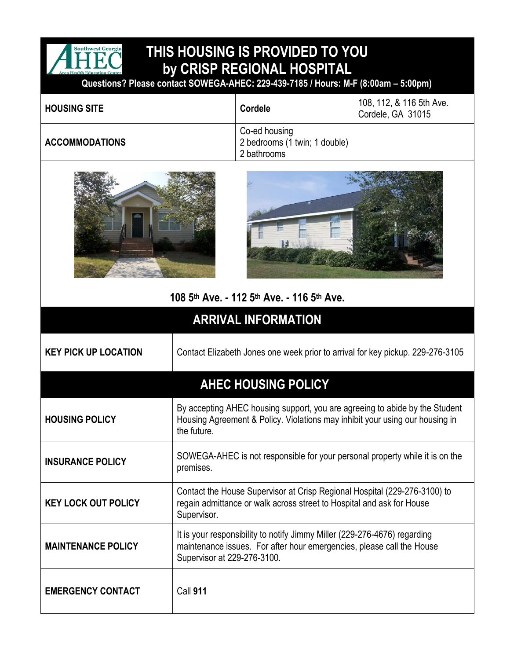

## **THIS HOUSING IS PROVIDED TO YOU by CRISP REGIONAL HOSPITAL**

 **Questions? Please contact SOWEGA-AHEC: 229-439-7185 / Hours: M-F (8:00am – 5:00pm)**

| <b>HOUSING SITE</b>   | Cordele                                                       | 108, 112, & 116 5th Ave.<br>Cordele, GA 31015 |
|-----------------------|---------------------------------------------------------------|-----------------------------------------------|
| <b>ACCOMMODATIONS</b> | Co-ed housing<br>2 bedrooms (1 twin; 1 double)<br>2 bathrooms |                                               |





## **108 5 th Ave. - 112 5th Ave. - 116 5th Ave.**

| <b>ARRIVAL INFORMATION</b>  |                                                                                                                                                                                   |  |
|-----------------------------|-----------------------------------------------------------------------------------------------------------------------------------------------------------------------------------|--|
| <b>KEY PICK UP LOCATION</b> | Contact Elizabeth Jones one week prior to arrival for key pickup. 229-276-3105                                                                                                    |  |
| <b>AHEC HOUSING POLICY</b>  |                                                                                                                                                                                   |  |
| <b>HOUSING POLICY</b>       | By accepting AHEC housing support, you are agreeing to abide by the Student<br>Housing Agreement & Policy. Violations may inhibit your using our housing in<br>the future.        |  |
| <b>INSURANCE POLICY</b>     | SOWEGA-AHEC is not responsible for your personal property while it is on the<br>premises.                                                                                         |  |
| <b>KEY LOCK OUT POLICY</b>  | Contact the House Supervisor at Crisp Regional Hospital (229-276-3100) to<br>regain admittance or walk across street to Hospital and ask for House<br>Supervisor.                 |  |
| <b>MAINTENANCE POLICY</b>   | It is your responsibility to notify Jimmy Miller (229-276-4676) regarding<br>maintenance issues. For after hour emergencies, please call the House<br>Supervisor at 229-276-3100. |  |
| <b>EMERGENCY CONTACT</b>    | <b>Call 911</b>                                                                                                                                                                   |  |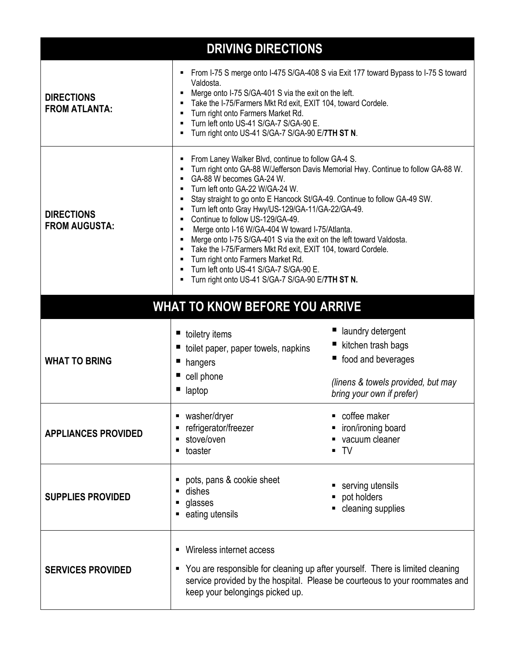| <b>DRIVING DIRECTIONS</b>                 |                                                                                                                                                                                                                                                                                                                                                                                                                                                                                                                                                                                                                                                                                                                                                |                                                                                                                                    |  |
|-------------------------------------------|------------------------------------------------------------------------------------------------------------------------------------------------------------------------------------------------------------------------------------------------------------------------------------------------------------------------------------------------------------------------------------------------------------------------------------------------------------------------------------------------------------------------------------------------------------------------------------------------------------------------------------------------------------------------------------------------------------------------------------------------|------------------------------------------------------------------------------------------------------------------------------------|--|
| <b>DIRECTIONS</b><br><b>FROM ATLANTA:</b> | From I-75 S merge onto I-475 S/GA-408 S via Exit 177 toward Bypass to I-75 S toward<br>٠<br>Valdosta.<br>Merge onto I-75 S/GA-401 S via the exit on the left.<br>٠<br>Take the I-75/Farmers Mkt Rd exit, EXIT 104, toward Cordele.<br>Turn right onto Farmers Market Rd.<br>٠<br>Turn left onto US-41 S/GA-7 S/GA-90 E.<br>Turn right onto US-41 S/GA-7 S/GA-90 E/7TH ST N.                                                                                                                                                                                                                                                                                                                                                                    |                                                                                                                                    |  |
| <b>DIRECTIONS</b><br><b>FROM AUGUSTA:</b> | From Laney Walker Blvd, continue to follow GA-4 S.<br>Turn right onto GA-88 W/Jefferson Davis Memorial Hwy. Continue to follow GA-88 W.<br>GA-88 W becomes GA-24 W.<br>٠<br>Turn left onto GA-22 W/GA-24 W.<br>٠<br>Stay straight to go onto E Hancock St/GA-49. Continue to follow GA-49 SW.<br>٠<br>Turn left onto Gray Hwy/US-129/GA-11/GA-22/GA-49.<br>٠<br>Continue to follow US-129/GA-49.<br>٠<br>Merge onto I-16 W/GA-404 W toward I-75/Atlanta.<br>٠<br>Merge onto I-75 S/GA-401 S via the exit on the left toward Valdosta.<br>٠<br>Take the I-75/Farmers Mkt Rd exit, EXIT 104, toward Cordele.<br>Turn right onto Farmers Market Rd.<br>Turn left onto US-41 S/GA-7 S/GA-90 E.<br>Turn right onto US-41 S/GA-7 S/GA-90 E/7TH ST N. |                                                                                                                                    |  |
| <b>WHAT TO KNOW BEFORE YOU ARRIVE</b>     |                                                                                                                                                                                                                                                                                                                                                                                                                                                                                                                                                                                                                                                                                                                                                |                                                                                                                                    |  |
| <b>WHAT TO BRING</b>                      | ■ toiletry items<br>toilet paper, paper towels, napkins<br>hangers<br>cell phone<br>laptop                                                                                                                                                                                                                                                                                                                                                                                                                                                                                                                                                                                                                                                     | laundry detergent<br>kitchen trash bags<br>■ food and beverages<br>(linens & towels provided, but may<br>bring your own if prefer) |  |
| <b>APPLIANCES PROVIDED</b>                | washer/dryer<br>п<br>refrigerator/freezer<br>п<br>stove/oven<br>п<br>toaster<br>٠                                                                                                                                                                                                                                                                                                                                                                                                                                                                                                                                                                                                                                                              | coffee maker<br>iron/ironing board<br>vacuum cleaner<br>$\blacksquare$ TV                                                          |  |
| <b>SUPPLIES PROVIDED</b>                  | pots, pans & cookie sheet<br>п<br>dishes<br>п<br>glasses<br>п<br>eating utensils<br>٠                                                                                                                                                                                                                                                                                                                                                                                                                                                                                                                                                                                                                                                          | serving utensils<br>pot holders<br>cleaning supplies                                                                               |  |
| <b>SERVICES PROVIDED</b>                  | Wireless internet access<br>п<br>You are responsible for cleaning up after yourself. There is limited cleaning<br>ш<br>service provided by the hospital. Please be courteous to your roommates and<br>keep your belongings picked up.                                                                                                                                                                                                                                                                                                                                                                                                                                                                                                          |                                                                                                                                    |  |